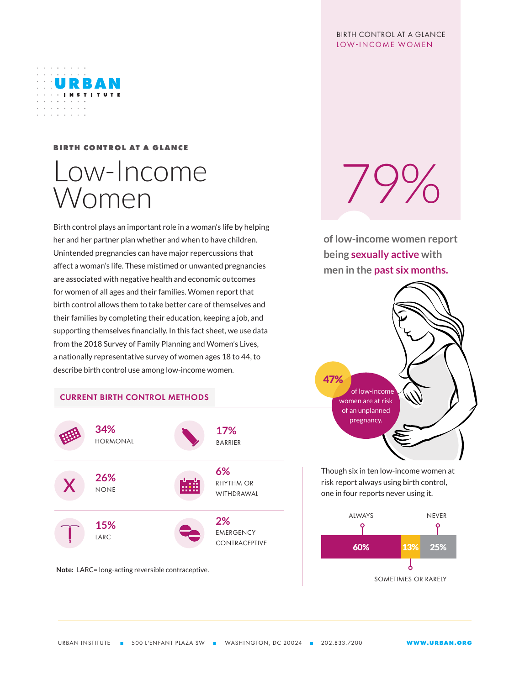#### BIRTH CONTROL AT A GLANCE LOW-INCOME WOMEN



## **BIRTH CONTROL AT A GLANCE**

# Low-Income **Women**

Birth control plays an important role in a woman's life by helping her and her partner plan whether and when to have children. Unintended pregnancies can have major repercussions that affect a woman's life. These mistimed or unwanted pregnancies are associated with negative health and economic outcomes for women of all ages and their families. Women report that birth control allows them to take better care of themselves and their families by completing their education, keeping a job, and supporting themselves financially. In this fact sheet, we use data from the 2018 Survey of Family Planning and Women's Lives, a nationally representative survey of women ages 18 to 44, to describe birth control use among low-income women.

### CURRENT BIRTH CONTROL METHODS



**Note:** LARC= long-acting reversible contraceptive.

 $79\%$ 

**of low-income women report being sexually active with men in the past six months.**



Though six in ten low-income women at risk report always using birth control, one in four reports never using it.